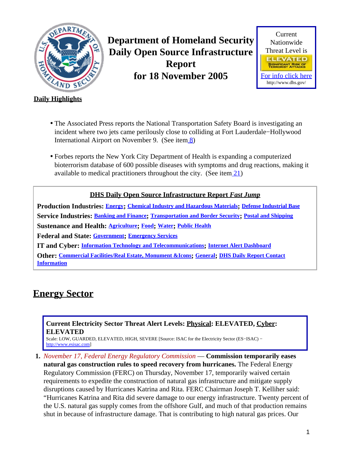<span id="page-0-1"></span>

**Department of Homeland Security Daily Open Source Infrastructure Report for 18 November 2005**



### **Daily Highlights**

- The Associated Press reports the National Transportation Safety Board is investigating an incident where two jets came perilously close to colliding at Fort Lauderdale−Hollywood International Airport on November 9. (See item [8\)](#page-2-0)
- Forbes reports the New York City Department of Health is expanding a computerized bioterrorism database of 600 possible diseases with symptoms and drug reactions, making it available to medical practitioners throughout the city. (See item  $(21)$ )

### **DHS Daily Open Source Infrastructure Report** *Fast Jump*

**Production Industries: [Energy](#page-0-0); [Chemical Industry and Hazardous Materials](#page-1-0); [Defense Industrial Base](#page-1-1) Service Industries: [Banking and Finance](#page-2-1); [Transportation and Border Security](#page-2-2); [Postal and Shipping](#page-4-0) Sustenance and Health: [Agriculture](#page-4-1); [Food](#page-5-0); [Water](#page-6-0); [Public Health](#page-6-1) Federal and State: [Government](#page-8-0); [Emergency Services](#page-8-1) IT and Cyber: [Information Technology and Telecommunications](#page-9-0); [Internet Alert Dashboard](#page-9-1) Other: [Commercial Facilities/Real Estate, Monument &Icons](#page-10-0); [General](#page-11-0); [DHS Daily Report Contact](#page-11-1)**

**[Information](#page-11-1)**

## <span id="page-0-0"></span>**Energy Sector**

### **Current Electricity Sector Threat Alert Levels: Physical: ELEVATED, Cyber: ELEVATED**

Scale: LOW, GUARDED, ELEVATED, HIGH, SEVERE [Source: ISAC for the Electricity Sector (ES−ISAC) − [http://www.esisac.com](http://esisac.com)]

**1.** *November 17, Federal Energy Regulatory Commission* — **Commission temporarily eases natural gas construction rules to speed recovery from hurricanes.** The Federal Energy Regulatory Commission (FERC) on Thursday, November 17, temporarily waived certain requirements to expedite the construction of natural gas infrastructure and mitigate supply disruptions caused by Hurricanes Katrina and Rita. FERC Chairman Joseph T. Kelliher said: "Hurricanes Katrina and Rita did severe damage to our energy infrastructure. Twenty percent of the U.S. natural gas supply comes from the offshore Gulf, and much of that production remains shut in because of infrastructure damage. That is contributing to high natural gas prices. Our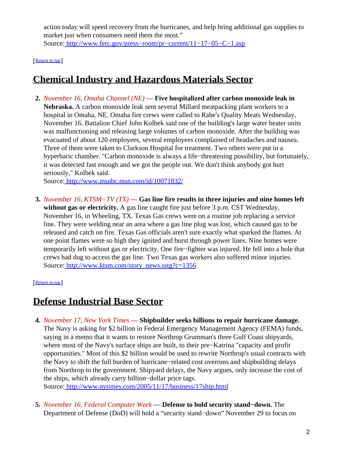action today will speed recovery from the hurricanes, and help bring additional gas supplies to market just when consumers need them the most." Source[: http://www.ferc.gov/press−room/pr−current/11−17−05−C−1.asp](http://www.ferc.gov/press-room/pr-current/11-17-05-C-1.asp)

[[Return to top](#page-0-1)]

# <span id="page-1-0"></span>**Chemical Industry and Hazardous Materials Sector**

**2.** *November 16, Omaha Channel (NE)* — **Five hospitalized after carbon monoxide leak in Nebraska.** A carbon monoxide leak sent several Millard meatpacking plant workers to a hospital in Omaha, NE. Omaha fire crews were called to Rabe's Quality Meats Wednesday, November 16. Battalion Chief John Kolbek said one of the building's large water heater units was malfunctioning and releasing large volumes of carbon monoxide. After the building was evacuated of about 120 employees, several employees complained of headaches and nausea. Three of them were taken to Clarkson Hospital for treatment. Two others were put in a hyperbaric chamber. "Carbon monoxide is always a life−threatening possibility, but fortunately, it was detected fast enough and we got the people out. We don't think anybody got hurt seriously," Kolbek said.

Source[: http://www.msnbc.msn.com/id/10071832/](http://www.msnbc.msn.com/id/10071832/)

**3.** *November 16, KTSM−TV (TX)* — **Gas line fire results in three injuries and nine homes left without gas or electricity.** A gas line caught fire just before 3 p.m. CST Wednesday, November 16, in Wheeling, TX. Texas Gas crews were on a routine job replacing a service line. They were welding near an area where a gas line plug was lost, which caused gas to be released and catch on fire. Texas Gas officials aren't sure exactly what sparked the flames. At one point flames were so high they ignited and burst through power lines. Nine homes were temporarily left without gas or electricity. One fire−fighter was injured. He fell into a hole that crews had dug to access the gas line. Two Texas gas workers also suffered minor injuries. Source[: http://www.ktsm.com/story\\_news.sstg?c=1356](http://www.ktsm.com/story_news.sstg?c=1356)

#### [[Return to top](#page-0-1)]

## <span id="page-1-1"></span>**Defense Industrial Base Sector**

**4.** *November 17, New York Times* — **Shipbuilder seeks billions to repair hurricane damage.** The Navy is asking for \$2 billion in Federal Emergency Management Agency (FEMA) funds, saying in a memo that it wants to restore Northrop Grumman's three Gulf Coast shipyards, where most of the Navy's surface ships are built, to their pre−Katrina "capacity and profit opportunities." Most of this \$2 billion would be used to rewrite Northrop's usual contracts with the Navy to shift the full burden of hurricane−related cost overruns and shipbuilding delays from Northrop to the government. Shipyard delays, the Navy argues, only increase the cost of the ships, which already carry billion−dollar price tags.

Source[: http://www.nytimes.com/2005/11/17/business/17ship.html](http://www.nytimes.com/2005/11/17/business/17ship.html)

**5.** *November 16, Federal Computer Week* — **Defense to hold security stand−down.** The Department of Defense (DoD) will hold a "security stand−down" November 29 to focus on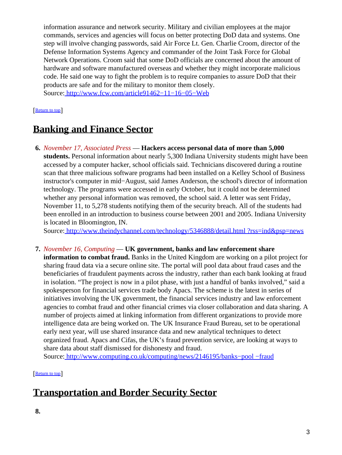information assurance and network security. Military and civilian employees at the major commands, services and agencies will focus on better protecting DoD data and systems. One step will involve changing passwords, said Air Force Lt. Gen. Charlie Croom, director of the Defense Information Systems Agency and commander of the Joint Task Force for Global Network Operations. Croom said that some DoD officials are concerned about the amount of hardware and software manufactured overseas and whether they might incorporate malicious code. He said one way to fight the problem is to require companies to assure DoD that their products are safe and for the military to monitor them closely. Source[: http://www.fcw.com/article91462−11−16−05−Web](http://www.fcw.com/article91462-11-16-05-Web)

#### [Return to top](#page-0-1)

## <span id="page-2-1"></span>**Banking and Finance Sector**

**6.** *November 17, Associated Press* — **Hackers access personal data of more than 5,000 students.** Personal information about nearly 5,300 Indiana University students might have been accessed by a computer hacker, school officials said. Technicians discovered during a routine scan that three malicious software programs had been installed on a Kelley School of Business instructor's computer in mid−August, said James Anderson, the school's director of information technology. The programs were accessed in early October, but it could not be determined whether any personal information was removed, the school said. A letter was sent Friday, November 11, to 5,278 students notifying them of the security breach. All of the students had been enrolled in an introduction to business course between 2001 and 2005. Indiana University is located in Bloomington, IN.

Source[: http://www.theindychannel.com/technology/5346888/detail.html ?rss=ind&psp=news](http://www.theindychannel.com/technology/5346888/detail.html?rss=ind&psp=news)

#### **7.** *November 16, Computing* — **UK government, banks and law enforcement share**

**information to combat fraud.** Banks in the United Kingdom are working on a pilot project for sharing fraud data via a secure online site. The portal will pool data about fraud cases and the beneficiaries of fraudulent payments across the industry, rather than each bank looking at fraud in isolation. "The project is now in a pilot phase, with just a handful of banks involved," said a spokesperson for financial services trade body Apacs. The scheme is the latest in series of initiatives involving the UK government, the financial services industry and law enforcement agencies to combat fraud and other financial crimes via closer collaboration and data sharing. A number of projects aimed at linking information from different organizations to provide more intelligence data are being worked on. The UK Insurance Fraud Bureau, set to be operational early next year, will use shared insurance data and new analytical techniques to detect organized fraud. Apacs and Cifas, the UK's fraud prevention service, are looking at ways to share data about staff dismissed for dishonesty and fraud.

Source[: http://www.computing.co.uk/computing/news/2146195/banks−pool −fraud](http://www.computing.co.uk/computing/news/2146195/banks-pool-fraud)

#### [[Return to top](#page-0-1)]

## <span id="page-2-2"></span><span id="page-2-0"></span>**Transportation and Border Security Sector**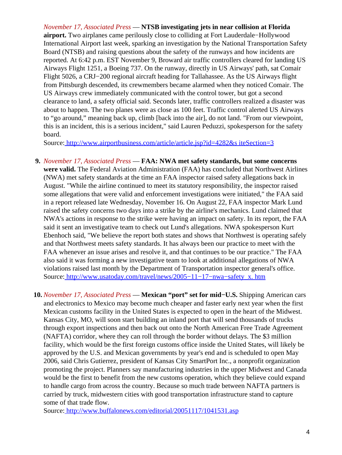*November 17, Associated Press* — **NTSB investigating jets in near collision at Florida airport.** Two airplanes came perilously close to colliding at Fort Lauderdale−Hollywood International Airport last week, sparking an investigation by the National Transportation Safety Board (NTSB) and raising questions about the safety of the runways and how incidents are reported. At 6:42 p.m. EST November 9, Broward air traffic controllers cleared for landing US Airways Flight 1251, a Boeing 737. On the runway, directly in US Airways' path, sat Comair Flight 5026, a CRJ−200 regional aircraft heading for Tallahassee. As the US Airways flight from Pittsburgh descended, its crewmembers became alarmed when they noticed Comair. The US Airways crew immediately communicated with the control tower, but got a second clearance to land, a safety official said. Seconds later, traffic controllers realized a disaster was about to happen. The two planes were as close as 100 feet. Traffic control alerted US Airways to "go around," meaning back up, climb [back into the air], do not land. "From our viewpoint, this is an incident, this is a serious incident," said Lauren Peduzzi, spokesperson for the safety board.

Source[: http://www.airportbusiness.com/article/article.jsp?id=4282&s iteSection=3](http://www.airportbusiness.com/article/article.jsp?id=4282&siteSection=3)

- **9.** *November 17, Associated Press* — **FAA: NWA met safety standards, but some concerns were valid.** The Federal Aviation Administration (FAA) has concluded that Northwest Airlines (NWA) met safety standards at the time an FAA inspector raised safety allegations back in August. "While the airline continued to meet its statutory responsibility, the inspector raised some allegations that were valid and enforcement investigations were initiated," the FAA said in a report released late Wednesday, November 16. On August 22, FAA inspector Mark Lund raised the safety concerns two days into a strike by the airline's mechanics. Lund claimed that NWA's actions in response to the strike were having an impact on safety. In its report, the FAA said it sent an investigative team to check out Lund's allegations. NWA spokesperson Kurt Ebenhoch said, "We believe the report both states and shows that Northwest is operating safely and that Northwest meets safety standards. It has always been our practice to meet with the FAA whenever an issue arises and resolve it, and that continues to be our practice." The FAA also said it was forming a new investigative team to look at additional allegations of NWA violations raised last month by the Department of Transportation inspector general's office. Source[: http://www.usatoday.com/travel/news/2005−11−17−nwa−safety\\_x. htm](http://www.usatoday.com/travel/news/2005-11-17-nwa-safety_x.htm)
- **10.** *November 17, Associated Press* — **Mexican "port" set for mid−U.S.** Shipping American cars and electronics to Mexico may become much cheaper and faster early next year when the first Mexican customs facility in the United States is expected to open in the heart of the Midwest. Kansas City, MO, will soon start building an inland port that will send thousands of trucks through export inspections and then back out onto the North American Free Trade Agreement (NAFTA) corridor, where they can roll through the border without delays. The \$3 million facility, which would be the first foreign customs office inside the United States, will likely be approved by the U.S. and Mexican governments by year's end and is scheduled to open May 2006, said Chris Gutierrez, president of Kansas City SmartPort Inc., a nonprofit organization promoting the project. Planners say manufacturing industries in the upper Midwest and Canada would be the first to benefit from the new customs operation, which they believe could expand to handle cargo from across the country. Because so much trade between NAFTA partners is carried by truck, midwestern cities with good transportation infrastructure stand to capture some of that trade flow.

Source[: http://www.buffalonews.com/editorial/20051117/1041531.asp](http://www.buffalonews.com/editorial/20051117/1041531.asp)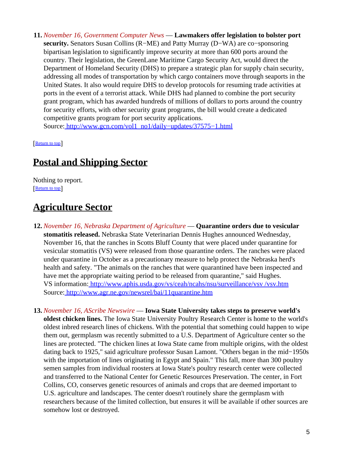**11.** *November 16, Government Computer News* — **Lawmakers offer legislation to bolster port security.** Senators Susan Collins (R−ME) and Patty Murray (D−WA) are co−sponsoring bipartisan legislation to significantly improve security at more than 600 ports around the country. Their legislation, the GreenLane Maritime Cargo Security Act, would direct the Department of Homeland Security (DHS) to prepare a strategic plan for supply chain security, addressing all modes of transportation by which cargo containers move through seaports in the United States. It also would require DHS to develop protocols for resuming trade activities at ports in the event of a terrorist attack. While DHS had planned to combine the port security grant program, which has awarded hundreds of millions of dollars to ports around the country for security efforts, with other security grant programs, the bill would create a dedicated competitive grants program for port security applications. Source[: http://www.gcn.com/vol1\\_no1/daily−updates/37575−1.html](http://www.gcn.com/vol1_no1/daily-updates/37575-1.html)

[[Return to top](#page-0-1)]

### <span id="page-4-0"></span>**Postal and Shipping Sector**

Nothing to report. [[Return to top](#page-0-1)]

## <span id="page-4-1"></span>**Agriculture Sector**

- **12.** *November 16, Nebraska Department of Agriculture* — **Quarantine orders due to vesicular stomatitis released.** Nebraska State Veterinarian Dennis Hughes announced Wednesday, November 16, that the ranches in Scotts Bluff County that were placed under quarantine for vesicular stomatitis (VS) were released from those quarantine orders. The ranches were placed under quarantine in October as a precautionary measure to help protect the Nebraska herd's health and safety. "The animals on the ranches that were quarantined have been inspected and have met the appropriate waiting period to be released from quarantine," said Hughes. VS information[: http://www.aphis.usda.gov/vs/ceah/ncahs/nsu/surveillance/vsv /vsv.htm](http://www.aphis.usda.gov/vs/ceah/ncahs/nsu/surveillance/vsv/vsv.htm) Source[: http://www.agr.ne.gov/newsrel/bai/11quarantine.htm](http://www.agr.ne.gov/newsrel/bai/11quarantine.htm)
- **13.** *November 16, AScribe Newswire* — **Iowa State University takes steps to preserve world's oldest chicken lines.** The Iowa State University Poultry Research Center is home to the world's oldest inbred research lines of chickens. With the potential that something could happen to wipe them out, germplasm was recently submitted to a U.S. Department of Agriculture center so the lines are protected. "The chicken lines at Iowa State came from multiple origins, with the oldest dating back to 1925," said agriculture professor Susan Lamont. "Others began in the mid−1950s with the importation of lines originating in Egypt and Spain." This fall, more than 300 poultry semen samples from individual roosters at Iowa State's poultry research center were collected and transferred to the National Center for Genetic Resources Preservation. The center, in Fort Collins, CO, conserves genetic resources of animals and crops that are deemed important to U.S. agriculture and landscapes. The center doesn't routinely share the germplasm with researchers because of the limited collection, but ensures it will be available if other sources are somehow lost or destroyed.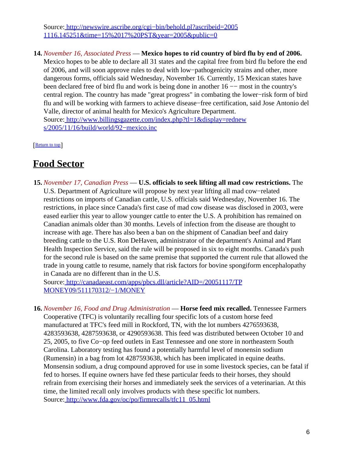Source[: http://newswire.ascribe.org/cgi−bin/behold.pl?ascribeid=2005](http://newswire.ascribe.org/cgi-bin/behold.pl?ascribeid=20051116.145251&time=15%2017%20PST&year=2005&public=0) [1116.145251&time=15%2017%20PST&year=2005&public=0](http://newswire.ascribe.org/cgi-bin/behold.pl?ascribeid=20051116.145251&time=15%2017%20PST&year=2005&public=0)

**14.** *November 16, Associated Press* — **Mexico hopes to rid country of bird flu by end of 2006.** Mexico hopes to be able to declare all 31 states and the capital free from bird flu before the end of 2006, and will soon approve rules to deal with low−pathogenicity strains and other, more dangerous forms, officials said Wednesday, November 16. Currently, 15 Mexican states have been declared free of bird flu and work is being done in another 16 −− most in the country's central region. The country has made "great progress" in combating the lower−risk form of bird flu and will be working with farmers to achieve disease−free certification, said Jose Antonio del Valle, director of animal health for Mexico's Agriculture Department. Source[: http://www.billingsgazette.com/index.php?tl=1&display=rednew](http://www.billingsgazette.com/index.php?tl=1&display=rednews/2005/11/16/build/world/92-mexico.inc) [s/2005/11/16/build/world/92−mexico.inc](http://www.billingsgazette.com/index.php?tl=1&display=rednews/2005/11/16/build/world/92-mexico.inc)

[[Return to top](#page-0-1)]

## <span id="page-5-0"></span>**Food Sector**

**15.** *November 17, Canadian Press* — **U.S. officials to seek lifting all mad cow restrictions.** The U.S. Department of Agriculture will propose by next year lifting all mad cow−related restrictions on imports of Canadian cattle, U.S. officials said Wednesday, November 16. The restrictions, in place since Canada's first case of mad cow disease was disclosed in 2003, were eased earlier this year to allow younger cattle to enter the U.S. A prohibition has remained on Canadian animals older than 30 months. Levels of infection from the disease are thought to increase with age. There has also been a ban on the shipment of Canadian beef and dairy breeding cattle to the U.S. Ron DeHaven, administrator of the department's Animal and Plant Health Inspection Service, said the rule will be proposed in six to eight months. Canada's push for the second rule is based on the same premise that supported the current rule that allowed the trade in young cattle to resume, namely that risk factors for bovine spongiform encephalopathy in Canada are no different than in the U.S.

Source[: http://canadaeast.com/apps/pbcs.dll/article?AID=/20051117/TP](http://canadaeast.com/apps/pbcs.dll/article?AID=/20051117/TPMONEY09/511170312/-1/MONEY) [MONEY09/511170312/−1/MONEY](http://canadaeast.com/apps/pbcs.dll/article?AID=/20051117/TPMONEY09/511170312/-1/MONEY)

**16.** *November 16, Food and Drug Administration* — **Horse feed mix recalled.** Tennessee Farmers Cooperative (TFC) is voluntarily recalling four specific lots of a custom horse feed manufactured at TFC's feed mill in Rockford, TN, with the lot numbers 4276593638, 4283593638, 4287593638, or 4290593638. This feed was distributed between October 10 and 25, 2005, to five Co−op feed outlets in East Tennessee and one store in northeastern South Carolina. Laboratory testing has found a potentially harmful level of monensin sodium (Rumensin) in a bag from lot 4287593638, which has been implicated in equine deaths. Monsensin sodium, a drug compound approved for use in some livestock species, can be fatal if fed to horses. If equine owners have fed these particular feeds to their horses, they should refrain from exercising their horses and immediately seek the services of a veterinarian. At this time, the limited recall only involves products with these specific lot numbers. Source[: http://www.fda.gov/oc/po/firmrecalls/tfc11\\_05.html](http://www.fda.gov/oc/po/firmrecalls/tfc11_05.html)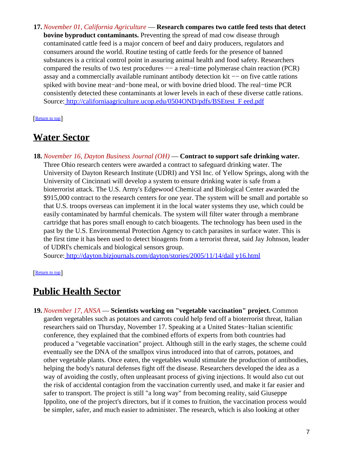**17.** *November 01, California Agriculture* — **Research compares two cattle feed tests that detect bovine byproduct contaminants.** Preventing the spread of mad cow disease through contaminated cattle feed is a major concern of beef and dairy producers, regulators and consumers around the world. Routine testing of cattle feeds for the presence of banned substances is a critical control point in assuring animal health and food safety. Researchers compared the results of two test procedures −− a real−time polymerase chain reaction (PCR) assay and a commercially available ruminant antibody detection kit −− on five cattle rations spiked with bovine meat−and−bone meal, or with bovine dried blood. The real−time PCR consistently detected these contaminants at lower levels in each of these diverse cattle rations. Source[: http://californiaagriculture.ucop.edu/0504OND/pdfs/BSEtest\\_F eed.pdf](http://californiaagriculture.ucop.edu/0504OND/pdfs/BSEtest_Feed.pdf)

[[Return to top](#page-0-1)]

### <span id="page-6-0"></span>**Water Sector**

**18.** *November 16, Dayton Business Journal (OH)* — **Contract to support safe drinking water.** Three Ohio research centers were awarded a contract to safeguard drinking water. The University of Dayton Research Institute (UDRI) and YSI Inc. of Yellow Springs, along with the University of Cincinnati will develop a system to ensure drinking water is safe from a bioterrorist attack. The U.S. Army's Edgewood Chemical and Biological Center awarded the \$915,000 contract to the research centers for one year. The system will be small and portable so that U.S. troops overseas can implement it in the local water systems they use, which could be easily contaminated by harmful chemicals. The system will filter water through a membrane cartridge that has pores small enough to catch bioagents. The technology has been used in the past by the U.S. Environmental Protection Agency to catch parasites in surface water. This is the first time it has been used to detect bioagents from a terrorist threat, said Jay Johnson, leader of UDRI's chemicals and biological sensors group.

Source[: http://dayton.bizjournals.com/dayton/stories/2005/11/14/dail y16.html](http://dayton.bizjournals.com/dayton/stories/2005/11/14/daily16.html)

[[Return to top](#page-0-1)]

## <span id="page-6-1"></span>**Public Health Sector**

**19.** *November 17, ANSA* — **Scientists working on "vegetable vaccination" project.** Common garden vegetables such as potatoes and carrots could help fend off a bioterrorist threat, Italian researchers said on Thursday, November 17. Speaking at a United States−Italian scientific conference, they explained that the combined efforts of experts from both countries had produced a "vegetable vaccination" project. Although still in the early stages, the scheme could eventually see the DNA of the smallpox virus introduced into that of carrots, potatoes, and other vegetable plants. Once eaten, the vegetables would stimulate the production of antibodies, helping the body's natural defenses fight off the disease. Researchers developed the idea as a way of avoiding the costly, often unpleasant process of giving injections. It would also cut out the risk of accidental contagion from the vaccination currently used, and make it far easier and safer to transport. The project is still "a long way" from becoming reality, said Giuseppe Ippolito, one of the project's directors, but if it comes to fruition, the vaccination process would be simpler, safer, and much easier to administer. The research, which is also looking at other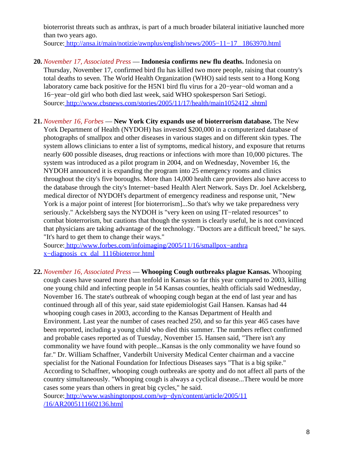bioterrorist threats such as anthrax, is part of a much broader bilateral initiative launched more than two years ago.

Source[: http://ansa.it/main/notizie/awnplus/english/news/2005−11−17\\_ 1863970.html](http://ansa.it/main/notizie/awnplus/english/news/2005-11-17_1863970.html)

- **20.** *November 17, Associated Press* — **Indonesia confirms new flu deaths.** Indonesia on Thursday, November 17, confirmed bird flu has killed two more people, raising that country's total deaths to seven. The World Health Organization (WHO) said tests sent to a Hong Kong laboratory came back positive for the H5N1 bird flu virus for a 20−year−old woman and a 16−year−old girl who both died last week, said WHO spokesperson Sari Setiogi. Source[: http://www.cbsnews.com/stories/2005/11/17/health/main1052412 .shtml](http://www.cbsnews.com/stories/2005/11/17/health/main1052412.shtml)
- <span id="page-7-0"></span>**21.** *November 16, Forbes* — **New York City expands use of bioterrorism database.** The New York Department of Health (NYDOH) has invested \$200,000 in a computerized database of photographs of smallpox and other diseases in various stages and on different skin types. The system allows clinicians to enter a list of symptoms, medical history, and exposure that returns nearly 600 possible diseases, drug reactions or infections with more than 10,000 pictures. The system was introduced as a pilot program in 2004, and on Wednesday, November 16, the NYDOH announced it is expanding the program into 25 emergency rooms and clinics throughout the city's five boroughs. More than 14,000 health care providers also have access to the database through the city's Internet−based Health Alert Network. Says Dr. Joel Ackelsberg, medical director of NYDOH's department of emergency readiness and response unit, "New York is a major point of interest [for bioterrorism]...So that's why we take preparedness very seriously." Ackelsberg says the NYDOH is "very keen on using IT−related resources" to combat bioterrorism, but cautions that though the system is clearly useful, he is not convinced that physicians are taking advantage of the technology. "Doctors are a difficult breed," he says. "It's hard to get them to change their ways."

Source[: http://www.forbes.com/infoimaging/2005/11/16/smallpox−anthra](http://www.forbes.com/infoimaging/2005/11/16/smallpox-anthrax-diagnosis_cx_dal_1116bioterror.html) [x−diagnosis\\_cx\\_dal\\_1116bioterror.html](http://www.forbes.com/infoimaging/2005/11/16/smallpox-anthrax-diagnosis_cx_dal_1116bioterror.html)

**22.** *November 16, Associated Press* — **Whooping Cough outbreaks plague Kansas.** Whooping cough cases have soared more than tenfold in Kansas so far this year compared to 2003, killing one young child and infecting people in 54 Kansas counties, health officials said Wednesday, November 16. The state's outbreak of whooping cough began at the end of last year and has continued through all of this year, said state epidemiologist Gail Hansen. Kansas had 44 whooping cough cases in 2003, according to the Kansas Department of Health and Environment. Last year the number of cases reached 250, and so far this year 465 cases have been reported, including a young child who died this summer. The numbers reflect confirmed and probable cases reported as of Tuesday, November 15. Hansen said, "There isn't any commonality we have found with people...Kansas is the only commonality we have found so far." Dr. William Schaffner, Vanderbilt University Medical Center chairman and a vaccine specialist for the National Foundation for Infectious Diseases says "That is a big spike." According to Schaffner, whooping cough outbreaks are spotty and do not affect all parts of the country simultaneously. "Whooping cough is always a cyclical disease...There would be more cases some years than others in great big cycles," he said.

Source[: http://www.washingtonpost.com/wp−dyn/content/article/2005/11](http://www.washingtonpost.com/wp-dyn/content/article/2005/11/16/AR2005111602136.html) [/16/AR2005111602136.html](http://www.washingtonpost.com/wp-dyn/content/article/2005/11/16/AR2005111602136.html)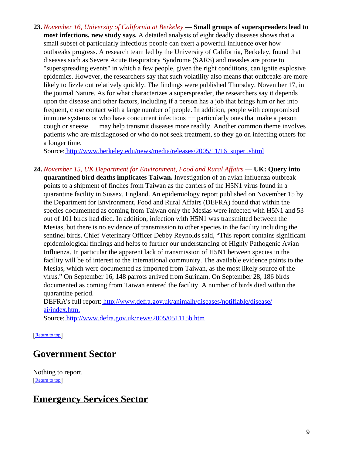**23.** *November 16, University of California at Berkeley* — **Small groups of superspreaders lead to most infections, new study says.** A detailed analysis of eight deadly diseases shows that a small subset of particularly infectious people can exert a powerful influence over how outbreaks progress. A research team led by the University of California, Berkeley, found that diseases such as Severe Acute Respiratory Syndrome (SARS) and measles are prone to "superspreading events" in which a few people, given the right conditions, can ignite explosive epidemics. However, the researchers say that such volatility also means that outbreaks are more likely to fizzle out relatively quickly. The findings were published Thursday, November 17, in the journal Nature. As for what characterizes a superspreader, the researchers say it depends upon the disease and other factors, including if a person has a job that brings him or her into frequent, close contact with a large number of people. In addition, people with compromised immune systems or who have concurrent infections −− particularly ones that make a person cough or sneeze -- may help transmit diseases more readily. Another common theme involves patients who are misdiagnosed or who do not seek treatment, so they go on infecting others for a longer time.

Source[: http://www.berkeley.edu/news/media/releases/2005/11/16\\_super .shtml](http://www.berkeley.edu/news/media/releases/2005/11/16_super.shtml)

**24.** *November 15, UK Department for Environment, Food and Rural Affairs* — **UK: Query into quarantined bird deaths implicates Taiwan.** Investigation of an avian influenza outbreak points to a shipment of finches from Taiwan as the carriers of the H5N1 virus found in a quarantine facility in Sussex, England. An epidemiology report published on November 15 by the Department for Environment, Food and Rural Affairs (DEFRA) found that within the species documented as coming from Taiwan only the Mesias were infected with H5N1 and 53 out of 101 birds had died. In addition, infection with H5N1 was transmitted between the Mesias, but there is no evidence of transmission to other species in the facility including the sentinel birds. Chief Veterinary Officer Debby Reynolds said, "This report contains significant epidemiological findings and helps to further our understanding of Highly Pathogenic Avian Influenza. In particular the apparent lack of transmission of H5N1 between species in the facility will be of interest to the international community. The available evidence points to the Mesias, which were documented as imported from Taiwan, as the most likely source of the virus." On September 16, 148 parrots arrived from Surinam. On September 28, 186 birds documented as coming from Taiwan entered the facility. A number of birds died within the quarantine period.

DEFRA's full report: [http://www.defra.gov.uk/animalh/diseases/notifiable/disease/](http://www.defra.gov.uk/animalh/diseases/notifiable/disease/ai/index.htm.) [ai/index.htm.](http://www.defra.gov.uk/animalh/diseases/notifiable/disease/ai/index.htm.)

Source[: http://www.defra.gov.uk/news/2005/051115b.htm](http://www.defra.gov.uk/news/2005/051115b.htm)

**[Return to top](#page-0-1)** 

## <span id="page-8-0"></span>**Government Sector**

Nothing to report. [[Return to top](#page-0-1)]

## <span id="page-8-1"></span>**Emergency Services Sector**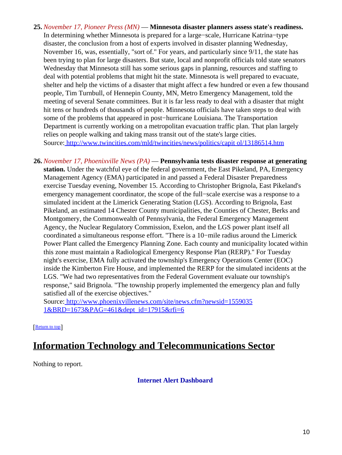- **25.** *November 17, Pioneer Press (MN)* — **Minnesota disaster planners assess state's readiness.** In determining whether Minnesota is prepared for a large−scale, Hurricane Katrina−type disaster, the conclusion from a host of experts involved in disaster planning Wednesday, November 16, was, essentially, "sort of." For years, and particularly since 9/11, the state has been trying to plan for large disasters. But state, local and nonprofit officials told state senators Wednesday that Minnesota still has some serious gaps in planning, resources and staffing to deal with potential problems that might hit the state. Minnesota is well prepared to evacuate, shelter and help the victims of a disaster that might affect a few hundred or even a few thousand people, Tim Turnbull, of Hennepin County, MN, Metro Emergency Management, told the meeting of several Senate committees. But it is far less ready to deal with a disaster that might hit tens or hundreds of thousands of people. Minnesota officials have taken steps to deal with some of the problems that appeared in post−hurricane Louisiana. The Transportation Department is currently working on a metropolitan evacuation traffic plan. That plan largely relies on people walking and taking mass transit out of the state's large cities. Source[: http://www.twincities.com/mld/twincities/news/politics/capit ol/13186514.htm](http://www.twincities.com/mld/twincities/news/politics/capitol/13186514.htm)
- **26.** *November 17, Phoenixville News (PA)* — **Pennsylvania tests disaster response at generating station.** Under the watchful eye of the federal government, the East Pikeland, PA, Emergency Management Agency (EMA) participated in and passed a Federal Disaster Preparedness exercise Tuesday evening, November 15. According to Christopher Brignola, East Pikeland's emergency management coordinator, the scope of the full−scale exercise was a response to a simulated incident at the Limerick Generating Station (LGS). According to Brignola, East Pikeland, an estimated 14 Chester County municipalities, the Counties of Chester, Berks and Montgomery, the Commonwealth of Pennsylvania, the Federal Emergency Management Agency, the Nuclear Regulatory Commission, Exelon, and the LGS power plant itself all coordinated a simultaneous response effort. "There is a 10−mile radius around the Limerick Power Plant called the Emergency Planning Zone. Each county and municipality located within this zone must maintain a Radiological Emergency Response Plan (RERP)." For Tuesday night's exercise, EMA fully activated the township's Emergency Operations Center (EOC) inside the Kimberton Fire House, and implemented the RERP for the simulated incidents at the LGS. "We had two representatives from the Federal Government evaluate our township's response," said Brignola. "The township properly implemented the emergency plan and fully satisfied all of the exercise objectives."

Source[: http://www.phoenixvillenews.com/site/news.cfm?newsid=1559035](http://www.phoenixvillenews.com/site/news.cfm?newsid=15590351&BRD=1673&PAG=461&dept_id=17915&rfi=6) [1&BRD=1673&PAG=461&dept\\_id=17915&rfi=6](http://www.phoenixvillenews.com/site/news.cfm?newsid=15590351&BRD=1673&PAG=461&dept_id=17915&rfi=6)

[[Return to top](#page-0-1)]

## <span id="page-9-0"></span>**Information Technology and Telecommunications Sector**

<span id="page-9-1"></span>Nothing to report.

**Internet Alert Dashboard**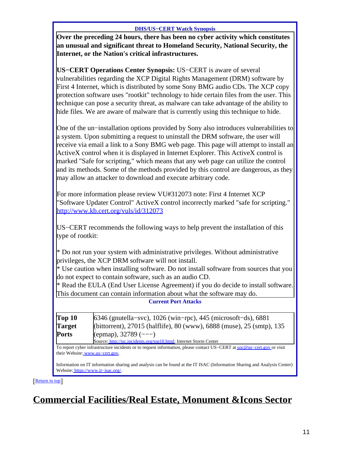#### **DHS/US−CERT Watch Synopsis**

**Over the preceding 24 hours, there has been no cyber activity which constitutes an unusual and significant threat to Homeland Security, National Security, the Internet, or the Nation's critical infrastructures.**

**US−CERT Operations Center Synopsis:** US−CERT is aware of several vulnerabilities regarding the XCP Digital Rights Management (DRM) software by First 4 Internet, which is distributed by some Sony BMG audio CDs. The XCP copy protection software uses "rootkit" technology to hide certain files from the user. This technique can pose a security threat, as malware can take advantage of the ability to hide files. We are aware of malware that is currently using this technique to hide.

One of the un−installation options provided by Sony also introduces vulnerabilities to a system. Upon submitting a request to uninstall the DRM software, the user will receive via email a link to a Sony BMG web page. This page will attempt to install an ActiveX control when it is displayed in Internet Explorer. This ActiveX control is marked "Safe for scripting," which means that any web page can utilize the control and its methods. Some of the methods provided by this control are dangerous, as they may allow an attacker to download and execute arbitrary code.

For more information please review VU#312073 note: First 4 Internet XCP "Software Updater Control" ActiveX control incorrectly marked "safe for scripting." <http://www.kb.cert.org/vuls/id/312073>

US−CERT recommends the following ways to help prevent the installation of this type of rootkit:

\* Do not run your system with administrative privileges. Without administrative privileges, the XCP DRM software will not install.

\* Use caution when installing software. Do not install software from sources that you do not expect to contain software, such as an audio CD.

\* Read the EULA (End User License Agreement) if you do decide to install software. This document can contain information about what the software may do.

**Current Port Attacks**

| Top 10        | $6346$ (gnutella–svc), 1026 (win–rpc), 445 (microsoft–ds), 6881       |
|---------------|-----------------------------------------------------------------------|
| <b>Target</b> | (bittorrent), 27015 (halflife), 80 (www), 6888 (muse), 25 (smtp), 135 |
| Ports         | (epmap), $32789$ (---)                                                |

Source[: http://isc.incidents.org/top10.html;](http://isc.incidents.org/top10.html) Internet Storm Center

To report cyber infrastructure incidents or to request information, please contact US−CERT at [soc@us−cert.gov](mailto:soc@us-cert.gov) or visit their Website: [www.us−cert.gov.](http://www.us-cert.gov/)

Information on IT information sharing and analysis can be found at the IT ISAC (Information Sharing and Analysis Center) Website: [https://www.it−isac.org/.](https://www.it-isac.org/)

[[Return to top](#page-0-1)]

# <span id="page-10-0"></span>**Commercial Facilities/Real Estate, Monument &Icons Sector**